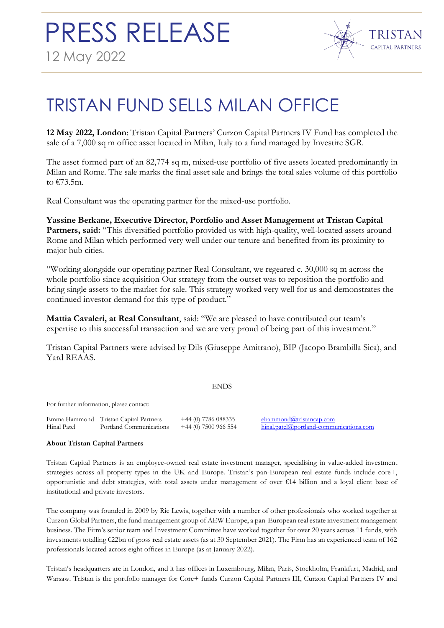

## TRISTAN FUND SELLS MILAN OFFICE

**12 May 2022, London**: Tristan Capital Partners' Curzon Capital Partners IV Fund has completed the sale of a 7,000 sq m office asset located in Milan, Italy to a fund managed by Investire SGR.

The asset formed part of an 82,774 sq m, mixed-use portfolio of five assets located predominantly in Milan and Rome. The sale marks the final asset sale and brings the total sales volume of this portfolio to €73.5m.

Real Consultant was the operating partner for the mixed-use portfolio.

**Yassine Berkane, Executive Director, Portfolio and Asset Management at Tristan Capital Partners, said:** "This diversified portfolio provided us with high-quality, well-located assets around Rome and Milan which performed very well under our tenure and benefited from its proximity to major hub cities.

"Working alongside our operating partner Real Consultant, we regeared c. 30,000 sq m across the whole portfolio since acquisition Our strategy from the outset was to reposition the portfolio and bring single assets to the market for sale. This strategy worked very well for us and demonstrates the continued investor demand for this type of product."

**Mattia Cavaleri, at Real Consultant**, said: "We are pleased to have contributed our team's expertise to this successful transaction and we are very proud of being part of this investment."

Tristan Capital Partners were advised by Dils (Giuseppe Amitrano), BIP (Jacopo Brambilla Sica), and Yard REAAS.

## ENDS

For further information, please contact:

|             | Emma Hammond Tristan Capital Partners | $+44$ (0) 7786 08833. |
|-------------|---------------------------------------|-----------------------|
| Hinal Patel | Portland Communications               | $+44$ (0) 7500 966 55 |

5 [ehammond@tristancap.com](mailto:ogriffiths@tristancap.com) 54 [hinal.patel@portland-communications.com](mailto:hinal.patel@portland-communications.com)

## **About Tristan Capital Partners**

Tristan Capital Partners is an employee-owned real estate investment manager, specialising in value-added investment strategies across all property types in the UK and Europe. Tristan's pan-European real estate funds include core+, opportunistic and debt strategies, with total assets under management of over €14 billion and a loyal client base of institutional and private investors.

The company was founded in 2009 by Ric Lewis, together with a number of other professionals who worked together at Curzon Global Partners, the fund management group of AEW Europe, a pan-European real estate investment management business. The Firm's senior team and Investment Committee have worked together for over 20 years across 11 funds, with investments totalling €22bn of gross real estate assets (as at 30 September 2021). The Firm has an experienced team of 162 professionals located across eight offices in Europe (as at January 2022).

Tristan's headquarters are in London, and it has offices in Luxembourg, Milan, Paris, Stockholm, Frankfurt, Madrid, and Warsaw. Tristan is the portfolio manager for Core+ funds Curzon Capital Partners III, Curzon Capital Partners IV and